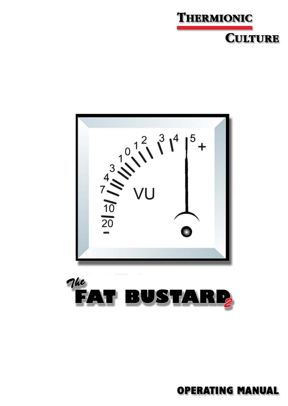





**OPERATING MANUAL**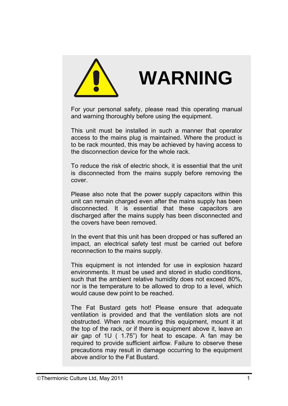

# **WARNING**

For your personal safety, please read this operating manual and warning thoroughly before using the equipment.

This unit must be installed in such a manner that operator access to the mains plug is maintained. Where the product is to be rack mounted, this may be achieved by having access to the disconnection device for the whole rack.

To reduce the risk of electric shock, it is essential that the unit is disconnected from the mains supply before removing the cover.

Please also note that the power supply capacitors within this unit can remain charged even after the mains supply has been disconnected. It is essential that these capacitors are discharged after the mains supply has been disconnected and the covers have been removed.

In the event that this unit has been dropped or has suffered an impact, an electrical safety test must be carried out before reconnection to the mains supply.

This equipment is not intended for use in explosion hazard environments. It must be used and stored in studio conditions, such that the ambient relative humidity does not exceed 80%, nor is the temperature to be allowed to drop to a level, which would cause dew point to be reached.

The Fat Bustard gets hot! Please ensure that adequate ventilation is provided and that the ventilation slots are not obstructed. When rack mounting this equipment, mount it at the top of the rack, or if there is equipment above it, leave an air gap of 1U ( 1.75") for heat to escape. A fan may be required to provide sufficient airflow. Failure to observe these precautions may result in damage occurring to the equipment above and/or to the Fat Bustard.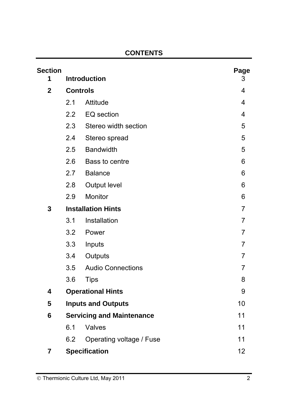# **CONTENTS**

| <b>Section</b><br>1 |                                  | <b>Introduction</b>      | Page<br>3      |
|---------------------|----------------------------------|--------------------------|----------------|
| $\mathbf{2}$        | <b>Controls</b>                  |                          | 4              |
|                     | 2.1                              | Attitude                 | 4              |
|                     | 2.2                              | EQ section               | 4              |
|                     | 2.3                              | Stereo width section     | 5              |
|                     | 2.4                              | Stereo spread            | 5              |
|                     | 2.5                              | <b>Bandwidth</b>         | 5              |
|                     | 2.6                              | Bass to centre           | 6              |
|                     | 2.7                              | <b>Balance</b>           | 6              |
|                     | 2.8                              | Output level             | 6              |
|                     | 2.9                              | Monitor                  | 6              |
| 3                   | <b>Installation Hints</b>        | $\overline{7}$           |                |
|                     | 3.1                              | Installation             | $\overline{7}$ |
|                     | 3.2                              | Power                    | $\overline{7}$ |
|                     | 3.3                              | Inputs                   | $\overline{7}$ |
|                     | 3.4                              | Outputs                  | $\overline{7}$ |
|                     | 3.5                              | <b>Audio Connections</b> | $\overline{7}$ |
|                     | 3.6                              | <b>Tips</b>              | 8              |
| 4                   | <b>Operational Hints</b>         |                          | 9              |
| 5                   | <b>Inputs and Outputs</b>        |                          | 10             |
| 6                   | <b>Servicing and Maintenance</b> |                          | 11             |
|                     | 6.1                              | Valves                   | 11             |
|                     | 6.2                              | Operating voltage / Fuse | 11             |
| 7                   |                                  | <b>Specification</b>     | 12             |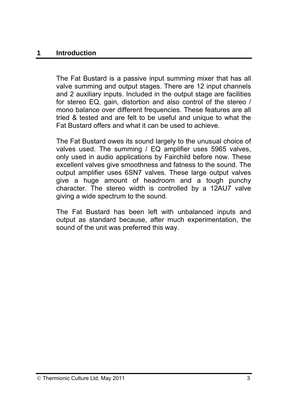#### **1 Introduction**

The Fat Bustard is a passive input summing mixer that has all valve summing and output stages. There are 12 input channels and 2 auxiliary inputs. Included in the output stage are facilities for stereo EQ, gain, distortion and also control of the stereo / mono balance over different frequencies. These features are all tried & tested and are felt to be useful and unique to what the Fat Bustard offers and what it can be used to achieve.

The Fat Bustard owes its sound largely to the unusual choice of valves used. The summing / EQ amplifier uses 5965 valves, only used in audio applications by Fairchild before now. These excellent valves give smoothness and fatness to the sound. The output amplifier uses 6SN7 valves. These large output valves give a huge amount of headroom and a tough punchy character. The stereo width is controlled by a 12AU7 valve giving a wide spectrum to the sound.

The Fat Bustard has been left with unbalanced inputs and output as standard because, after much experimentation, the sound of the unit was preferred this way.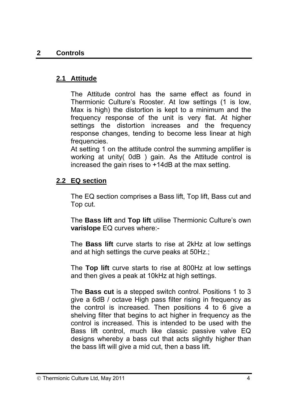# **2.1 Attitude**

The Attitude control has the same effect as found in Thermionic Culture's Rooster. At low settings (1 is low, Max is high) the distortion is kept to a minimum and the frequency response of the unit is very flat. At higher settings the distortion increases and the frequency response changes, tending to become less linear at high frequencies.

At setting 1 on the attitude control the summing amplifier is working at unity( 0dB ) gain. As the Attitude control is increased the gain rises to +14dB at the max setting.

# **2.2 EQ section**

The EQ section comprises a Bass lift, Top lift, Bass cut and Top cut.

The **Bass lift** and **Top lift** utilise Thermionic Culture's own **varislope** EQ curves where:-

The **Bass lift** curve starts to rise at 2kHz at low settings and at high settings the curve peaks at 50Hz.;

The **Top lift** curve starts to rise at 800Hz at low settings and then gives a peak at 10kHz at high settings.

The **Bass cut** is a stepped switch control. Positions 1 to 3 give a 6dB / octave High pass filter rising in frequency as the control is increased. Then positions 4 to 6 give a shelving filter that begins to act higher in frequency as the control is increased. This is intended to be used with the Bass lift control, much like classic passive valve EQ designs whereby a bass cut that acts slightly higher than the bass lift will give a mid cut, then a bass lift.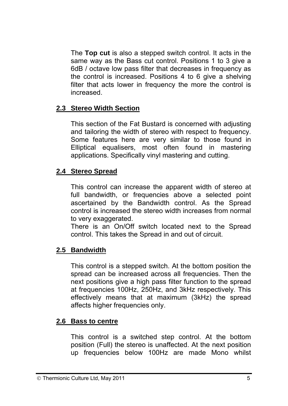The **Top cut** is also a stepped switch control. It acts in the same way as the Bass cut control. Positions 1 to 3 give a 6dB / octave low pass filter that decreases in frequency as the control is increased. Positions 4 to 6 give a shelving filter that acts lower in frequency the more the control is increased.

## **2.3 Stereo Width Section**

This section of the Fat Bustard is concerned with adjusting and tailoring the width of stereo with respect to frequency. Some features here are very similar to those found in Elliptical equalisers, most often found in mastering applications. Specifically vinyl mastering and cutting.

## **2.4 Stereo Spread**

This control can increase the apparent width of stereo at full bandwidth, or frequencies above a selected point ascertained by the Bandwidth control. As the Spread control is increased the stereo width increases from normal to very exaggerated.

There is an On/Off switch located next to the Spread control. This takes the Spread in and out of circuit.

## **2.5 Bandwidth**

This control is a stepped switch. At the bottom position the spread can be increased across all frequencies. Then the next positions give a high pass filter function to the spread at frequencies 100Hz, 250Hz, and 3kHz respectively. This effectively means that at maximum (3kHz) the spread affects higher frequencies only.

## **2.6 Bass to centre**

This control is a switched step control. At the bottom position (Full) the stereo is unaffected. At the next position up frequencies below 100Hz are made Mono whilst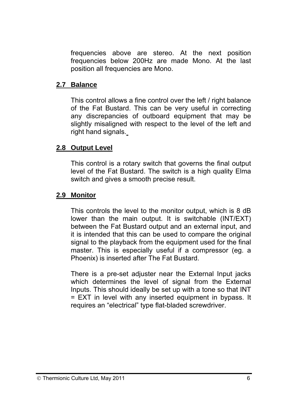frequencies above are stereo. At the next position frequencies below 200Hz are made Mono. At the last position all frequencies are Mono.

#### **2.7 Balance**

This control allows a fine control over the left / right balance of the Fat Bustard. This can be very useful in correcting any discrepancies of outboard equipment that may be slightly misaligned with respect to the level of the left and right hand signals.

#### **2.8 Output Level**

This control is a rotary switch that governs the final output level of the Fat Bustard. The switch is a high quality Elma switch and gives a smooth precise result.

#### **2.9 Monitor**

This controls the level to the monitor output, which is 8 dB lower than the main output. It is switchable (INT/EXT) between the Fat Bustard output and an external input, and it is intended that this can be used to compare the original signal to the playback from the equipment used for the final master. This is especially useful if a compressor (eg. a Phoenix) is inserted after The Fat Bustard.

There is a pre-set adjuster near the External Input jacks which determines the level of signal from the External Inputs. This should ideally be set up with a tone so that INT = EXT in level with any inserted equipment in bypass. It requires an "electrical" type flat-bladed screwdriver.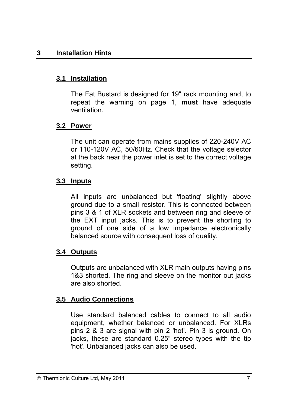# **3.1 Installation**

The Fat Bustard is designed for 19" rack mounting and, to repeat the warning on page 1, **must** have adequate ventilation.

# **3.2 Power**

The unit can operate from mains supplies of 220-240V AC or 110-120V AC, 50/60Hz. Check that the voltage selector at the back near the power inlet is set to the correct voltage setting.

# **3.3 Inputs**

All inputs are unbalanced but 'floating' slightly above ground due to a small resistor. This is connected between pins 3 & 1 of XLR sockets and between ring and sleeve of the EXT input jacks. This is to prevent the shorting to ground of one side of a low impedance electronically balanced source with consequent loss of quality.

# **3.4 Outputs**

Outputs are unbalanced with XLR main outputs having pins 1&3 shorted. The ring and sleeve on the monitor out jacks are also shorted.

# **3.5 Audio Connections**

Use standard balanced cables to connect to all audio equipment, whether balanced or unbalanced. For XLRs pins 2 & 3 are signal with pin 2 'hot'. Pin 3 is ground. On jacks, these are standard 0.25" stereo types with the tip 'hot'. Unbalanced jacks can also be used.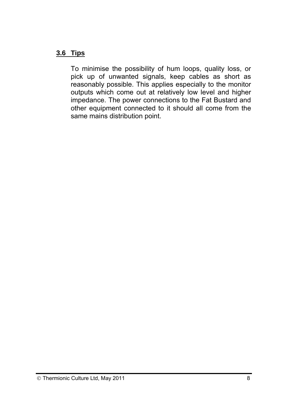## **3.6 Tips**

To minimise the possibility of hum loops, quality loss, or pick up of unwanted signals, keep cables as short as reasonably possible. This applies especially to the monitor outputs which come out at relatively low level and higher impedance. The power connections to the Fat Bustard and other equipment connected to it should all come from the same mains distribution point.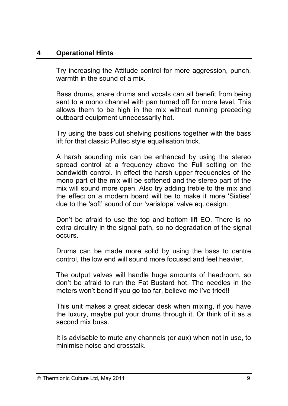## **4 Operational Hints**

Try increasing the Attitude control for more aggression, punch, warmth in the sound of a mix.

Bass drums, snare drums and vocals can all benefit from being sent to a mono channel with pan turned off for more level. This allows them to be high in the mix without running preceding outboard equipment unnecessarily hot.

Try using the bass cut shelving positions together with the bass lift for that classic Pultec style equalisation trick.

A harsh sounding mix can be enhanced by using the stereo spread control at a frequency above the Full setting on the bandwidth control. In effect the harsh upper frequencies of the mono part of the mix will be softened and the stereo part of the mix will sound more open. Also try adding treble to the mix and the effect on a modern board will be to make it more 'Sixties' due to the 'soft' sound of our 'varislope' valve eq. design.

Don't be afraid to use the top and bottom lift EQ. There is no extra circuitry in the signal path, so no degradation of the signal occurs.

Drums can be made more solid by using the bass to centre control, the low end will sound more focused and feel heavier.

The output valves will handle huge amounts of headroom, so don't be afraid to run the Fat Bustard hot. The needles in the meters won't bend if you go too far, believe me I've tried!!

This unit makes a great sidecar desk when mixing, if you have the luxury, maybe put your drums through it. Or think of it as a second mix buss.

It is advisable to mute any channels (or aux) when not in use, to minimise noise and crosstalk.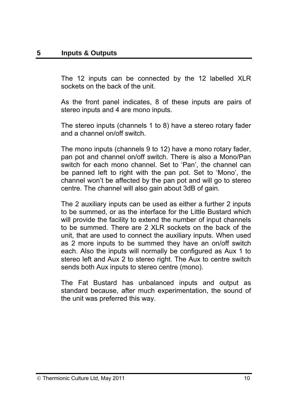The 12 inputs can be connected by the 12 labelled XLR sockets on the back of the unit.

As the front panel indicates, 8 of these inputs are pairs of stereo inputs and 4 are mono inputs.

The stereo inputs (channels 1 to 8) have a stereo rotary fader and a channel on/off switch.

The mono inputs (channels 9 to 12) have a mono rotary fader, pan pot and channel on/off switch. There is also a Mono/Pan switch for each mono channel. Set to 'Pan', the channel can be panned left to right with the pan pot. Set to 'Mono', the channel won't be affected by the pan pot and will go to stereo centre. The channel will also gain about 3dB of gain.

The 2 auxiliary inputs can be used as either a further 2 inputs to be summed, or as the interface for the Little Bustard which will provide the facility to extend the number of input channels to be summed. There are 2 XLR sockets on the back of the unit, that are used to connect the auxiliary inputs. When used as 2 more inputs to be summed they have an on/off switch each. Also the inputs will normally be configured as Aux 1 to stereo left and Aux 2 to stereo right. The Aux to centre switch sends both Aux inputs to stereo centre (mono).

The Fat Bustard has unbalanced inputs and output as standard because, after much experimentation, the sound of the unit was preferred this way.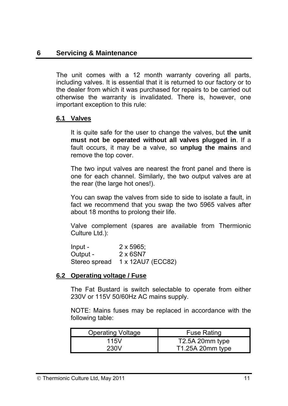#### **6 Servicing & Maintenance**

The unit comes with a 12 month warranty covering all parts, including valves. It is essential that it is returned to our factory or to the dealer from which it was purchased for repairs to be carried out otherwise the warranty is invalidated. There is, however, one important exception to this rule:

#### **6.1 Valves**

It is quite safe for the user to change the valves, but **the unit must not be operated without all valves plugged in**. If a fault occurs, it may be a valve, so **unplug the mains** and remove the top cover.

The two input valves are nearest the front panel and there is one for each channel. Similarly, the two output valves are at the rear (the large hot ones!).

You can swap the valves from side to side to isolate a fault, in fact we recommend that you swap the two 5965 valves after about 18 months to prolong their life.

Valve complement (spares are available from Thermionic Culture Ltd.):

| - Input       | $2 \times 5965$ ; |
|---------------|-------------------|
| Output -      | 2 x 6SN7          |
| Stereo spread | 1 x 12AU7 (ECC82) |

#### **6.2 Operating voltage / Fuse**

The Fat Bustard is switch selectable to operate from either 230V or 115V 50/60Hz AC mains supply.

NOTE: Mains fuses may be replaced in accordance with the following table:

| <b>Operating Voltage</b> | <b>Fuse Rating</b> |
|--------------------------|--------------------|
| 115V                     | T2.5A 20mm type    |
| 230V                     | T1.25A 20mm type   |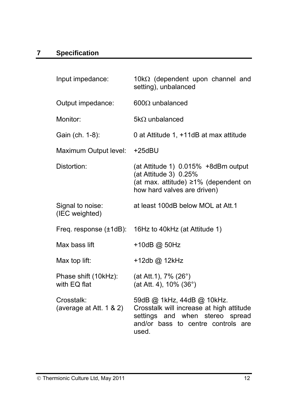| Input impedance:                      | 10 $k\Omega$ (dependent upon channel and<br>setting), unbalanced                                                                                         |
|---------------------------------------|----------------------------------------------------------------------------------------------------------------------------------------------------------|
| Output impedance:                     | $600\Omega$ unbalanced                                                                                                                                   |
| Monitor:                              | $5k\Omega$ unbalanced                                                                                                                                    |
| Gain (ch. 1-8):                       | 0 at Attitude 1, +11dB at max attitude                                                                                                                   |
| Maximum Output level:                 | $+25$ d $B$ U                                                                                                                                            |
| Distortion:                           | (at Attitude 1) 0.015% +8dBm output<br>(at Attitude 3) 0.25%<br>(at max. attitude) ≥1% (dependent on<br>how hard valves are driven)                      |
| Signal to noise:<br>(IEC weighted)    | at least 100dB below MOL at Att.1                                                                                                                        |
|                                       | Freq. response (±1dB): 16Hz to 40kHz (at Attitude 1)                                                                                                     |
| Max bass lift                         | +10dB @ 50Hz                                                                                                                                             |
| Max top lift:                         | +12db @ 12kHz                                                                                                                                            |
| Phase shift (10kHz):<br>with EQ flat  | (at Att.1), 7% (26°)<br>(at Att. 4), 10% (36°)                                                                                                           |
| Crosstalk:<br>(average at Att. 1 & 2) | 59dB @ 1kHz, 44dB @ 10kHz.<br>Crosstalk will increase at high attitude<br>settings and when stereo spread<br>and/or bass to centre controls are<br>used. |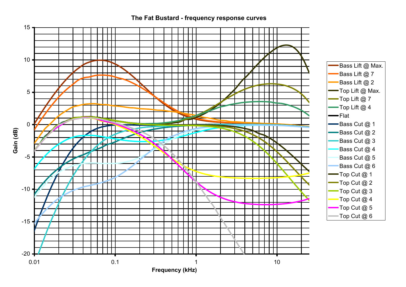

#### **The Fat Bustard - frequency response curves**